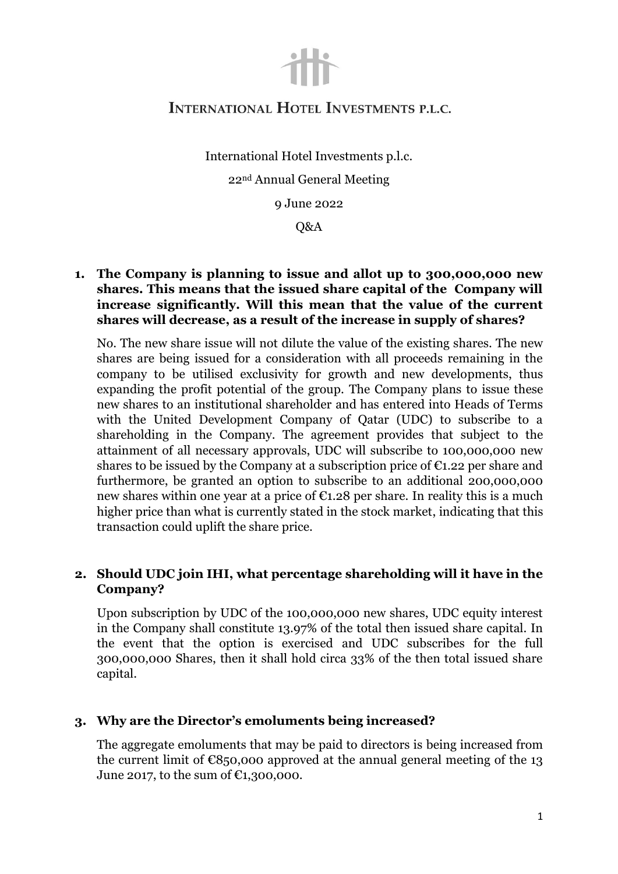

# INTERNATIONAL HOTEL INVESTMENTS P.L.C.

International Hotel Investments p.l.c. 22nd Annual General Meeting

9 June 2022

Q&A

**1. The Company is planning to issue and allot up to 300,000,000 new shares. This means that the issued share capital of the Company will increase significantly. Will this mean that the value of the current shares will decrease, as a result of the increase in supply of shares?**

No. The new share issue will not dilute the value of the existing shares. The new shares are being issued for a consideration with all proceeds remaining in the company to be utilised exclusivity for growth and new developments, thus expanding the profit potential of the group. The Company plans to issue these new shares to an institutional shareholder and has entered into Heads of Terms with the United Development Company of Qatar (UDC) to subscribe to a shareholding in the Company. The agreement provides that subject to the attainment of all necessary approvals, UDC will subscribe to 100,000,000 new shares to be issued by the Company at a subscription price of  $\epsilon_{1,22}$  per share and furthermore, be granted an option to subscribe to an additional 200,000,000 new shares within one year at a price of  $\epsilon$ 1.28 per share. In reality this is a much higher price than what is currently stated in the stock market, indicating that this transaction could uplift the share price.

#### **2. Should UDC join IHI, what percentage shareholding will it have in the Company?**

Upon subscription by UDC of the 100,000,000 new shares, UDC equity interest in the Company shall constitute 13.97% of the total then issued share capital. In the event that the option is exercised and UDC subscribes for the full 300,000,000 Shares, then it shall hold circa 33% of the then total issued share capital.

#### **3. Why are the Director's emoluments being increased?**

The aggregate emoluments that may be paid to directors is being increased from the current limit of  $\epsilon$ 850,000 approved at the annual general meeting of the 13 June 2017, to the sum of  $C1,300,000$ .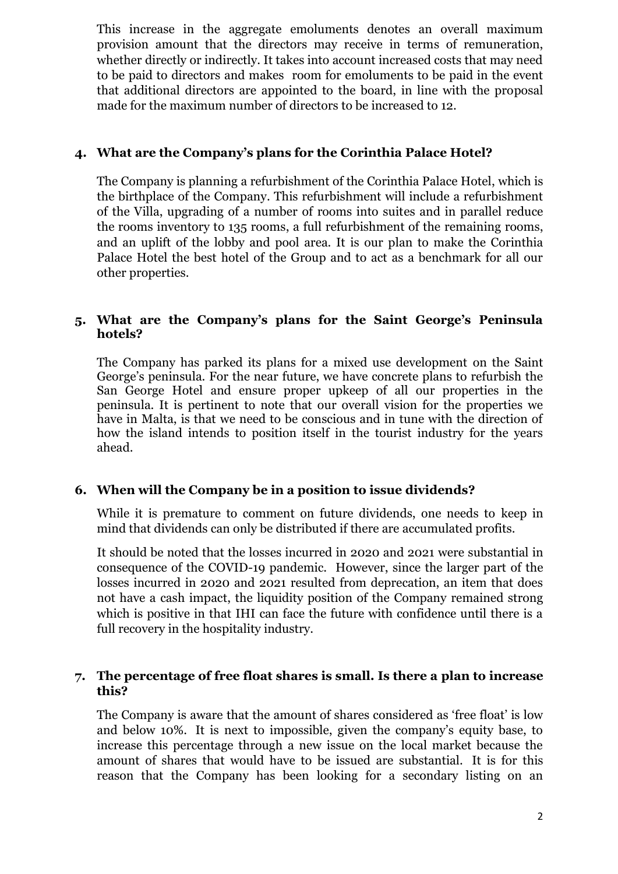This increase in the aggregate emoluments denotes an overall maximum provision amount that the directors may receive in terms of remuneration, whether directly or indirectly. It takes into account increased costs that may need to be paid to directors and makes room for emoluments to be paid in the event that additional directors are appointed to the board, in line with the proposal made for the maximum number of directors to be increased to 12.

# **4. What are the Company's plans for the Corinthia Palace Hotel?**

The Company is planning a refurbishment of the Corinthia Palace Hotel, which is the birthplace of the Company. This refurbishment will include a refurbishment of the Villa, upgrading of a number of rooms into suites and in parallel reduce the rooms inventory to 135 rooms, a full refurbishment of the remaining rooms, and an uplift of the lobby and pool area. It is our plan to make the Corinthia Palace Hotel the best hotel of the Group and to act as a benchmark for all our other properties.

# **5. What are the Company's plans for the Saint George's Peninsula hotels?**

The Company has parked its plans for a mixed use development on the Saint George's peninsula. For the near future, we have concrete plans to refurbish the San George Hotel and ensure proper upkeep of all our properties in the peninsula. It is pertinent to note that our overall vision for the properties we have in Malta, is that we need to be conscious and in tune with the direction of how the island intends to position itself in the tourist industry for the years ahead.

# **6. When will the Company be in a position to issue dividends?**

While it is premature to comment on future dividends, one needs to keep in mind that dividends can only be distributed if there are accumulated profits.

It should be noted that the losses incurred in 2020 and 2021 were substantial in consequence of the COVID-19 pandemic. However, since the larger part of the losses incurred in 2020 and 2021 resulted from deprecation, an item that does not have a cash impact, the liquidity position of the Company remained strong which is positive in that IHI can face the future with confidence until there is a full recovery in the hospitality industry.

# **7. The percentage of free float shares is small. Is there a plan to increase this?**

The Company is aware that the amount of shares considered as 'free float' is low and below 10%. It is next to impossible, given the company's equity base, to increase this percentage through a new issue on the local market because the amount of shares that would have to be issued are substantial. It is for this reason that the Company has been looking for a secondary listing on an